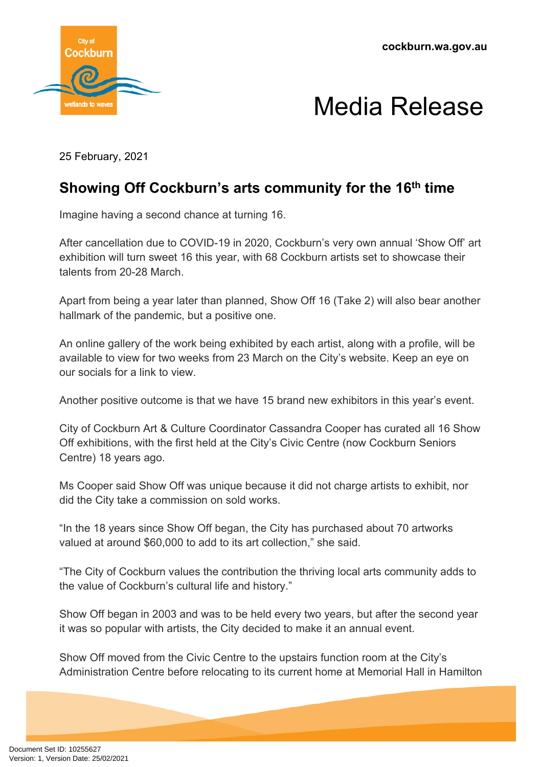



25 February, 2021

## **Showing Off Cockburn's arts community for the 16th time**

Imagine having a second chance at turning 16.

After cancellation due to COVID-19 in 2020, Cockburn's very own annual 'Show Off' art exhibition will turn sweet 16 this year, with 68 Cockburn artists set to showcase their talents from 20-28 March.

Apart from being a year later than planned, Show Off 16 (Take 2) will also bear another hallmark of the pandemic, but a positive one.

An online gallery of the work being exhibited by each artist, along with a profile, will be available to view for two weeks from 23 March on the City's website. Keep an eye on our socials for a link to view.

Another positive outcome is that we have 15 brand new exhibitors in this year's event.

City of Cockburn Art & Culture Coordinator Cassandra Cooper has curated all 16 Show Off exhibitions, with the first held at the City's Civic Centre (now Cockburn Seniors Centre) 18 years ago.

Ms Cooper said Show Off was unique because it did not charge artists to exhibit, nor did the City take a commission on sold works.

"In the 18 years since Show Off began, the City has purchased about 70 artworks valued at around \$60,000 to add to its art collection," she said.

"The City of Cockburn values the contribution the thriving local arts community adds to the value of Cockburn's cultural life and history."

Show Off began in 2003 and was to be held every two years, but after the second year it was so popular with artists, the City decided to make it an annual event.

Show Off moved from the Civic Centre to the upstairs function room at the City's Administration Centre before relocating to its current home at Memorial Hall in Hamilton